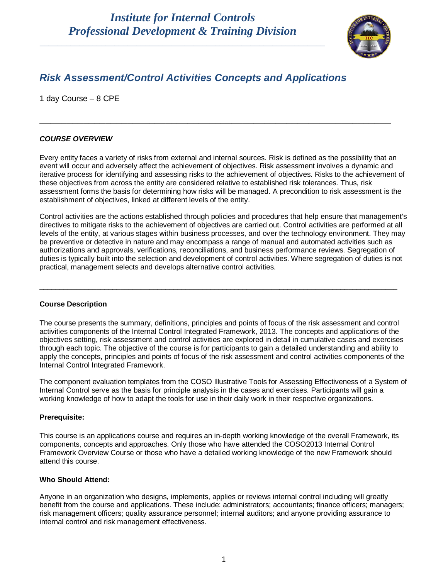\_\_\_\_\_\_\_\_\_\_\_\_\_\_\_\_\_\_\_\_\_\_\_\_\_\_\_\_\_\_\_\_\_\_\_\_\_\_\_\_\_\_\_\_\_\_\_\_\_\_\_\_\_\_\_\_\_\_\_\_\_\_\_\_\_



### *Risk Assessment/Control Activities Concepts and Applications*

1 day Course – 8 CPE

### *COURSE OVERVIEW*

Every entity faces a variety of risks from external and internal sources. Risk is defined as the possibility that an event will occur and adversely affect the achievement of objectives. Risk assessment involves a dynamic and iterative process for identifying and assessing risks to the achievement of objectives. Risks to the achievement of these objectives from across the entity are considered relative to established risk tolerances. Thus, risk assessment forms the basis for determining how risks will be managed. A precondition to risk assessment is the establishment of objectives, linked at different levels of the entity.

**\_\_\_\_\_\_\_\_\_\_\_\_\_\_\_\_\_\_\_\_\_\_\_\_\_\_\_\_\_\_\_\_\_\_\_\_\_\_\_\_\_\_\_\_\_\_\_\_\_\_\_\_\_\_\_\_\_\_\_\_\_\_\_\_**

Control activities are the actions established through policies and procedures that help ensure that management's directives to mitigate risks to the achievement of objectives are carried out. Control activities are performed at all levels of the entity, at various stages within business processes, and over the technology environment. They may be preventive or detective in nature and may encompass a range of manual and automated activities such as authorizations and approvals, verifications, reconciliations, and business performance reviews. Segregation of duties is typically built into the selection and development of control activities. Where segregation of duties is not practical, management selects and develops alternative control activities.

\_\_\_\_\_\_\_\_\_\_\_\_\_\_\_\_\_\_\_\_\_\_\_\_\_\_\_\_\_\_\_\_\_\_\_\_\_\_\_\_\_\_\_\_\_\_\_\_\_\_\_\_\_\_\_\_\_\_\_\_\_\_\_\_\_\_\_\_\_\_\_\_\_\_\_\_\_\_\_\_\_\_\_\_\_\_\_\_

#### **Course Description**

The course presents the summary, definitions, principles and points of focus of the risk assessment and control activities components of the Internal Control Integrated Framework, 2013. The concepts and applications of the objectives setting, risk assessment and control activities are explored in detail in cumulative cases and exercises through each topic. The objective of the course is for participants to gain a detailed understanding and ability to apply the concepts, principles and points of focus of the risk assessment and control activities components of the Internal Control Integrated Framework.

The component evaluation templates from the COSO Illustrative Tools for Assessing Effectiveness of a System of Internal Control serve as the basis for principle analysis in the cases and exercises. Participants will gain a working knowledge of how to adapt the tools for use in their daily work in their respective organizations.

#### **Prerequisite:**

This course is an applications course and requires an in-depth working knowledge of the overall Framework, its components, concepts and approaches. Only those who have attended the COSO2013 Internal Control Framework Overview Course or those who have a detailed working knowledge of the new Framework should attend this course.

#### **Who Should Attend:**

Anyone in an organization who designs, implements, applies or reviews internal control including will greatly benefit from the course and applications. These include: administrators; accountants; finance officers; managers; risk management officers; quality assurance personnel; internal auditors; and anyone providing assurance to internal control and risk management effectiveness.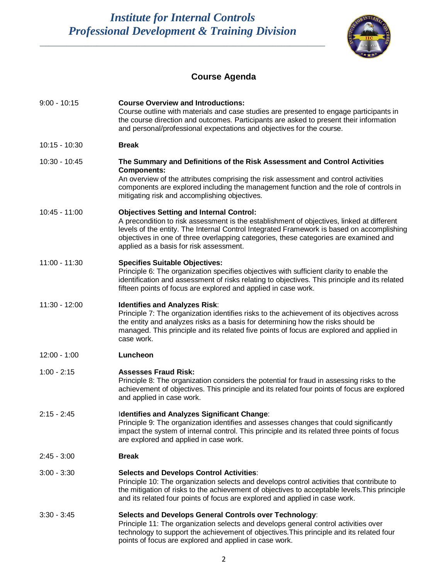*Institute for Internal Controls Professional Development & Training Division*

\_\_\_\_\_\_\_\_\_\_\_\_\_\_\_\_\_\_\_\_\_\_\_\_\_\_\_\_\_\_\_\_\_\_\_\_\_\_\_\_\_\_\_\_\_\_\_\_\_\_\_\_\_\_\_\_\_\_\_\_\_\_\_\_\_



# **Course Agenda**

| $9:00 - 10:15$  | <b>Course Overview and Introductions:</b><br>Course outline with materials and case studies are presented to engage participants in<br>the course direction and outcomes. Participants are asked to present their information<br>and personal/professional expectations and objectives for the course.                                                                       |
|-----------------|------------------------------------------------------------------------------------------------------------------------------------------------------------------------------------------------------------------------------------------------------------------------------------------------------------------------------------------------------------------------------|
| $10:15 - 10:30$ | <b>Break</b>                                                                                                                                                                                                                                                                                                                                                                 |
| 10:30 - 10:45   | The Summary and Definitions of the Risk Assessment and Control Activities<br><b>Components:</b><br>An overview of the attributes comprising the risk assessment and control activities<br>components are explored including the management function and the role of controls in<br>mitigating risk and accomplishing objectives.                                             |
| $10:45 - 11:00$ | <b>Objectives Setting and Internal Control:</b><br>A precondition to risk assessment is the establishment of objectives, linked at different<br>levels of the entity. The Internal Control Integrated Framework is based on accomplishing<br>objectives in one of three overlapping categories, these categories are examined and<br>applied as a basis for risk assessment. |
| 11:00 - 11:30   | <b>Specifies Suitable Objectives:</b><br>Principle 6: The organization specifies objectives with sufficient clarity to enable the<br>identification and assessment of risks relating to objectives. This principle and its related<br>fifteen points of focus are explored and applied in case work.                                                                         |
| 11:30 - 12:00   | <b>Identifies and Analyzes Risk:</b><br>Principle 7: The organization identifies risks to the achievement of its objectives across<br>the entity and analyzes risks as a basis for determining how the risks should be<br>managed. This principle and its related five points of focus are explored and applied in<br>case work.                                             |
| $12:00 - 1:00$  | Luncheon                                                                                                                                                                                                                                                                                                                                                                     |
| $1:00 - 2:15$   | <b>Assesses Fraud Risk:</b><br>Principle 8: The organization considers the potential for fraud in assessing risks to the<br>achievement of objectives. This principle and its related four points of focus are explored<br>and applied in case work.                                                                                                                         |
| $2:15 - 2:45$   | Identifies and Analyzes Significant Change:<br>Principle 9: The organization identifies and assesses changes that could significantly<br>impact the system of internal control. This principle and its related three points of focus<br>are explored and applied in case work.                                                                                               |
| $2:45 - 3:00$   | <b>Break</b>                                                                                                                                                                                                                                                                                                                                                                 |
| $3:00 - 3:30$   | <b>Selects and Develops Control Activities:</b><br>Principle 10: The organization selects and develops control activities that contribute to<br>the mitigation of risks to the achievement of objectives to acceptable levels. This principle<br>and its related four points of focus are explored and applied in case work.                                                 |
| $3:30 - 3:45$   | Selects and Develops General Controls over Technology:<br>Principle 11: The organization selects and develops general control activities over<br>technology to support the achievement of objectives. This principle and its related four<br>points of focus are explored and applied in case work.                                                                          |